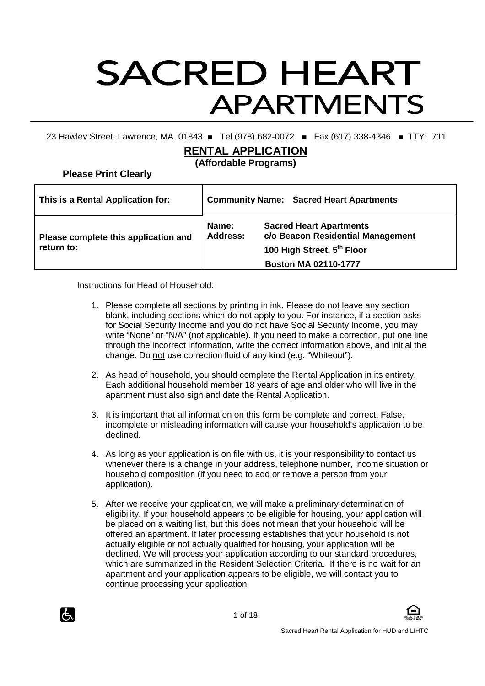# **SACRED HEART APARTMENTS**

23 Hawley Street, Lawrence, MA 01843 ■ Tel (978) 682-0072 ■ Fax (617) 338-4346 ■ TTY: 711

# **RENTAL APPLICATION**

**(Affordable Programs)** 

**Please Print Clearly** 

| This is a Rental Application for:                  | <b>Community Name: Sacred Heart Apartments</b> |                                                                                                                                  |  |  |
|----------------------------------------------------|------------------------------------------------|----------------------------------------------------------------------------------------------------------------------------------|--|--|
| Please complete this application and<br>return to: | Name:<br><b>Address:</b>                       | <b>Sacred Heart Apartments</b><br>c/o Beacon Residential Management<br>100 High Street, 5th Floor<br><b>Boston MA 02110-1777</b> |  |  |

Instructions for Head of Household:

- 1. Please complete all sections by printing in ink. Please do not leave any section blank, including sections which do not apply to you. For instance, if a section asks for Social Security Income and you do not have Social Security Income, you may write "None" or "N/A" (not applicable). If you need to make a correction, put one line through the incorrect information, write the correct information above, and initial the change. Do not use correction fluid of any kind (e.g. "Whiteout").
- 2. As head of household, you should complete the Rental Application in its entirety. Each additional household member 18 years of age and older who will live in the apartment must also sign and date the Rental Application.
- 3. It is important that all information on this form be complete and correct. False, incomplete or misleading information will cause your household's application to be declined.
- 4. As long as your application is on file with us, it is your responsibility to contact us whenever there is a change in your address, telephone number, income situation or household composition (if you need to add or remove a person from your application).
- 5. After we receive your application, we will make a preliminary determination of eligibility. If your household appears to be eligible for housing, your application will be placed on a waiting list, but this does not mean that your household will be offered an apartment. If later processing establishes that your household is not actually eligible or not actually qualified for housing, your application will be declined. We will process your application according to our standard procedures, which are summarized in the Resident Selection Criteria. If there is no wait for an apartment and your application appears to be eligible, we will contact you to continue processing your application.



1 of 18

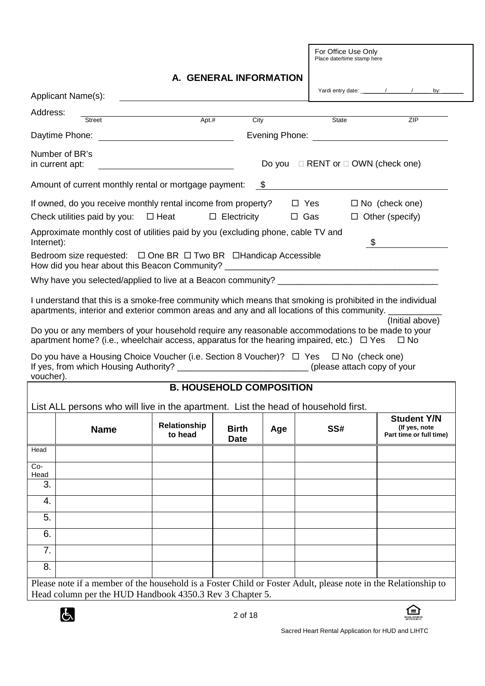For Office Use Only Place date/time stamp here

### **A. GENERAL INFORMATION**

| Applicant Name(s):                |                                                                                                                                                     |       |      |            |                                              |                        |  |
|-----------------------------------|-----------------------------------------------------------------------------------------------------------------------------------------------------|-------|------|------------|----------------------------------------------|------------------------|--|
| Address:                          | <b>Street</b>                                                                                                                                       | Apt.# | City |            | State                                        | ZIP                    |  |
| Daytime Phone:                    |                                                                                                                                                     |       |      |            |                                              |                        |  |
| Number of BR's<br>in current apt: |                                                                                                                                                     |       |      |            | Do you $\Box$ RENT or $\Box$ OWN (check one) |                        |  |
|                                   | Amount of current monthly rental or mortgage payment: \$                                                                                            |       |      |            |                                              |                        |  |
|                                   | If owned, do you receive monthly rental income from property?                                                                                       |       |      | $\Box$ Yes |                                              | $\Box$ No (check one)  |  |
|                                   | Check utilities paid by you: $\Box$ Heat $\Box$ Electricity                                                                                         |       |      | $\Box$ Gas |                                              | $\Box$ Other (specify) |  |
| Internet):                        | Approximate monthly cost of utilities paid by you (excluding phone, cable TV and                                                                    |       |      |            | $\mathsf{\$}$                                |                        |  |
|                                   | Bedroom size requested: □ One BR □ Two BR □ Handicap Accessible<br>How did you hear about this Beacon Community? __________________________________ |       |      |            |                                              |                        |  |
|                                   | Why have you selected/applied to live at a Beacon community?                                                                                        |       |      |            |                                              |                        |  |
|                                   |                                                                                                                                                     |       |      |            |                                              |                        |  |

I understand that this is a smoke-free community which means that smoking is prohibited in the individual apartments, interior and exterior common areas and any and all locations of this community.

(Initial above)

Do you or any members of your household require any reasonable accommodations to be made to your apartment home? (i.e., wheelchair access, apparatus for the hearing impaired, etc.)  $\Box$  Yes  $\Box$  No

Do you have a Housing Choice Voucher (i.e. Section 8 Voucher)?  $\Box$  Yes  $\Box$  No (check one) If yes, from which Housing Authority? \_\_\_\_\_\_\_\_\_\_\_\_\_\_\_\_\_\_\_\_\_\_\_\_\_\_\_\_(please attach copy of your voucher).

# **B. HOUSEHOLD COMPOSITION**

|               | <b>Name</b> | Relationship<br>to head | <b>Birth</b><br><b>Date</b> | Age | SS# | <b>Student Y/N</b><br>(If yes, note<br>Part time or full time) |
|---------------|-------------|-------------------------|-----------------------------|-----|-----|----------------------------------------------------------------|
| Head          |             |                         |                             |     |     |                                                                |
| $Co-$<br>Head |             |                         |                             |     |     |                                                                |
| 3.            |             |                         |                             |     |     |                                                                |
| 4.            |             |                         |                             |     |     |                                                                |
| 5.            |             |                         |                             |     |     |                                                                |
| 6.            |             |                         |                             |     |     |                                                                |
| 7.            |             |                         |                             |     |     |                                                                |
| 8.            |             |                         |                             |     |     |                                                                |

Please note if a member of the household is a Foster Child or Foster Adult, please note in the Relationship to Head column per the HUD Handbook 4350.3 Rev 3 Chapter 5.



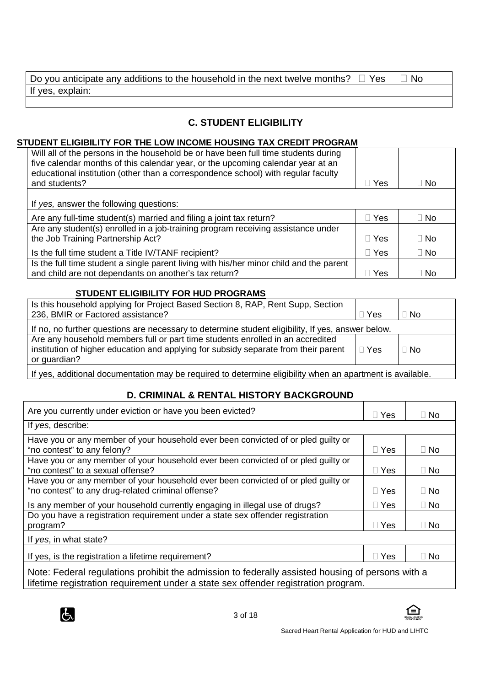| Do you anticipate any additions to the household in the next twelve months? $\Box$ Yes | ' N∩ |
|----------------------------------------------------------------------------------------|------|
| If yes, explain:                                                                       |      |

# **C. STUDENT ELIGIBILITY**

# **STUDENT ELIGIBILITY FOR THE LOW INCOME HOUSING TAX CREDIT PROGRAM**

| Will all of the persons in the household be or have been full time students during<br>five calendar months of this calendar year, or the upcoming calendar year at an<br>educational institution (other than a correspondence school) with regular faculty<br>and students? | Yes | No. |
|-----------------------------------------------------------------------------------------------------------------------------------------------------------------------------------------------------------------------------------------------------------------------------|-----|-----|
| If yes, answer the following questions:                                                                                                                                                                                                                                     |     |     |
| Are any full-time student(s) married and filing a joint tax return?                                                                                                                                                                                                         | Yes | No. |
| Are any student(s) enrolled in a job-training program receiving assistance under<br>the Job Training Partnership Act?                                                                                                                                                       | Yes | No  |
| Is the full time student a Title IV/TANF recipient?                                                                                                                                                                                                                         | Yes | No  |
| Is the full time student a single parent living with his/her minor child and the parent<br>and child are not dependants on another's tax return?                                                                                                                            | Yes | No. |

#### **STUDENT ELIGIBILITY FOR HUD PROGRAMS**

| Is this household applying for Project Based Section 8, RAP, Rent Supp, Section                                                 |     |    |  |  |
|---------------------------------------------------------------------------------------------------------------------------------|-----|----|--|--|
| 236, BMIR or Factored assistance?                                                                                               | Yes | No |  |  |
| If no, no further questions are necessary to determine student eligibility, If yes, answer below.                               |     |    |  |  |
| Are any household members full or part time students enrolled in an accredited                                                  |     |    |  |  |
| institution of higher education and applying for subsidy separate from their parent<br>or guardian?                             | Yes | No |  |  |
| . If you are additioned the concentration measure to a mode a distance that all the colorate and content of the set in the late |     |    |  |  |

If yes, additional documentation may be required to determine eligibility when an apartment is available.

# **D. CRIMINAL & RENTAL HISTORY BACKGROUND**

| Are you currently under eviction or have you been evicted?                                                             | Yes | No. |  |  |  |
|------------------------------------------------------------------------------------------------------------------------|-----|-----|--|--|--|
| If yes, describe:                                                                                                      |     |     |  |  |  |
| Have you or any member of your household ever been convicted of or pled guilty or                                      |     |     |  |  |  |
| "no contest" to any felony?                                                                                            | Yes | No. |  |  |  |
| Have you or any member of your household ever been convicted of or pled quilty or<br>"no contest" to a sexual offense? | Yes | No. |  |  |  |
| Have you or any member of your household ever been convicted of or pled guilty or                                      |     |     |  |  |  |
| "no contest" to any drug-related criminal offense?                                                                     | Yes | No. |  |  |  |
| Is any member of your household currently engaging in illegal use of drugs?                                            | Yes | No. |  |  |  |
| Do you have a registration requirement under a state sex offender registration                                         |     |     |  |  |  |
| program?                                                                                                               | Yes | No. |  |  |  |
| If yes, in what state?                                                                                                 |     |     |  |  |  |
| If yes, is the registration a lifetime requirement?                                                                    | Yes | No  |  |  |  |
| Note: Federal requisitions probibit the admission to federally assisted bousing of persons with a                      |     |     |  |  |  |

Note: Federal regulations prohibit the admission to federally assisted housing of persons with a lifetime registration requirement under a state sex offender registration program.



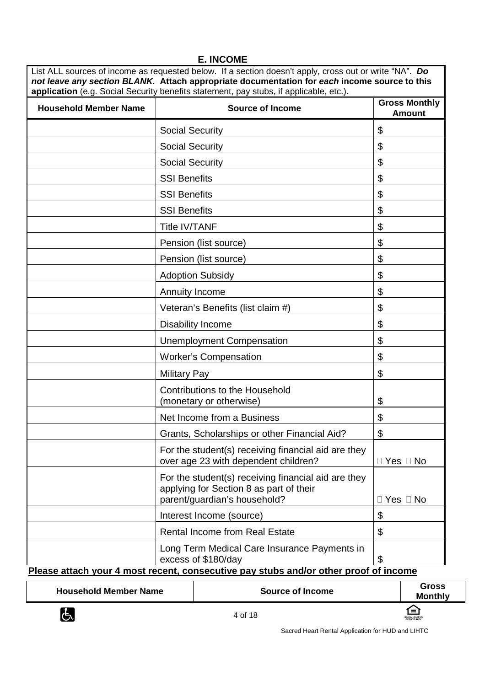|  | <b>E. INCOME</b> |
|--|------------------|
|--|------------------|

List ALL sources of income as requested below. If a section doesn't apply, cross out or write "NA". **Do not leave any section BLANK. Attach appropriate documentation for each income source to this application** (e.g. Social Security benefits statement, pay stubs, if applicable, etc.).

| <b>Household Member Name</b> | <b>Source of Income</b>                                                                                                                                     | <b>Gross Monthly</b><br><b>Amount</b> |  |
|------------------------------|-------------------------------------------------------------------------------------------------------------------------------------------------------------|---------------------------------------|--|
|                              | <b>Social Security</b>                                                                                                                                      | \$                                    |  |
|                              | <b>Social Security</b>                                                                                                                                      | \$                                    |  |
|                              | <b>Social Security</b>                                                                                                                                      | \$                                    |  |
|                              | <b>SSI Benefits</b>                                                                                                                                         | \$                                    |  |
|                              | <b>SSI Benefits</b>                                                                                                                                         | \$                                    |  |
|                              | <b>SSI Benefits</b>                                                                                                                                         | \$                                    |  |
|                              | <b>Title IV/TANF</b>                                                                                                                                        | \$                                    |  |
|                              | Pension (list source)                                                                                                                                       | \$                                    |  |
|                              | Pension (list source)                                                                                                                                       | \$                                    |  |
|                              | <b>Adoption Subsidy</b>                                                                                                                                     | \$                                    |  |
|                              | Annuity Income                                                                                                                                              | \$                                    |  |
|                              | Veteran's Benefits (list claim #)                                                                                                                           | \$                                    |  |
|                              | Disability Income                                                                                                                                           | \$                                    |  |
|                              | <b>Unemployment Compensation</b>                                                                                                                            | \$                                    |  |
|                              | <b>Worker's Compensation</b>                                                                                                                                | \$                                    |  |
|                              | <b>Military Pay</b>                                                                                                                                         | \$                                    |  |
|                              | <b>Contributions to the Household</b><br>(monetary or otherwise)                                                                                            | \$                                    |  |
|                              | Net Income from a Business                                                                                                                                  | \$                                    |  |
|                              | Grants, Scholarships or other Financial Aid?                                                                                                                | \$                                    |  |
|                              | For the student(s) receiving financial aid are they<br>over age 23 with dependent children?                                                                 | Yes No                                |  |
|                              | For the student(s) receiving financial aid are they<br>applying for Section 8 as part of their<br>parent/guardian's household?                              | Yes<br><b>No</b>                      |  |
|                              | Interest Income (source)                                                                                                                                    | \$                                    |  |
|                              | <b>Rental Income from Real Estate</b>                                                                                                                       | \$                                    |  |
|                              | Long Term Medical Care Insurance Payments in<br>excess of \$180/day<br>Please attach your 4 most recent, consecutive pay stubs and/or other proof of income | \$                                    |  |

**Household Member Name**  $\begin{array}{|c|c|c|c|c|c|c|c|} \hline \textbf{Gross} & \textbf{Gross} \end{array}$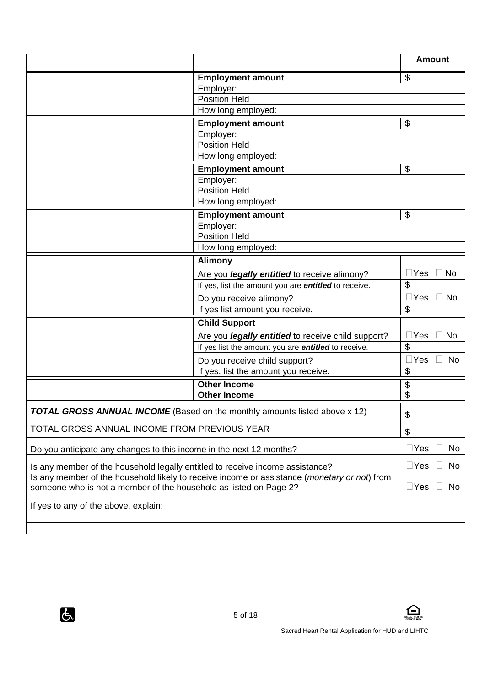|                                                                               |                                                                                                       | <b>Amount</b>              |
|-------------------------------------------------------------------------------|-------------------------------------------------------------------------------------------------------|----------------------------|
|                                                                               | <b>Employment amount</b>                                                                              | \$                         |
|                                                                               | Employer:                                                                                             |                            |
|                                                                               | <b>Position Held</b>                                                                                  |                            |
|                                                                               | How long employed:                                                                                    |                            |
|                                                                               | <b>Employment amount</b>                                                                              | \$                         |
|                                                                               | Employer:                                                                                             |                            |
|                                                                               | <b>Position Held</b>                                                                                  |                            |
|                                                                               | How long employed:                                                                                    |                            |
|                                                                               | <b>Employment amount</b>                                                                              | \$                         |
|                                                                               | Employer:                                                                                             |                            |
|                                                                               | <b>Position Held</b>                                                                                  |                            |
|                                                                               | How long employed:                                                                                    |                            |
|                                                                               | <b>Employment amount</b>                                                                              | \$                         |
|                                                                               | Employer:                                                                                             |                            |
|                                                                               | <b>Position Held</b>                                                                                  |                            |
|                                                                               | How long employed:                                                                                    |                            |
|                                                                               | <b>Alimony</b>                                                                                        |                            |
|                                                                               | Are you <i>legally entitled</i> to receive alimony?                                                   | $\exists$ Yes<br><b>No</b> |
|                                                                               | If yes, list the amount you are entitled to receive.                                                  | \$                         |
|                                                                               | Do you receive alimony?                                                                               | No<br>$\sqsupset$ Yes      |
|                                                                               | If yes list amount you receive.                                                                       | \$                         |
|                                                                               | <b>Child Support</b>                                                                                  |                            |
|                                                                               | Are you <i>legally entitled</i> to receive child support?                                             | $\Box$ Yes<br><b>No</b>    |
|                                                                               | If yes list the amount you are entitled to receive.                                                   | \$                         |
|                                                                               | Do you receive child support?                                                                         | $\exists$ Yes<br><b>No</b> |
|                                                                               | If yes, list the amount you receive.                                                                  | \$                         |
|                                                                               | <b>Other Income</b>                                                                                   | \$                         |
|                                                                               | <b>Other Income</b>                                                                                   | $\overline{\$}$            |
|                                                                               | TOTAL GROSS ANNUAL INCOME (Based on the monthly amounts listed above x 12)                            | \$                         |
| TOTAL GROSS ANNUAL INCOME FROM PREVIOUS YEAR                                  |                                                                                                       | \$                         |
| Do you anticipate any changes to this income in the next 12 months?           |                                                                                                       | $\sqcup$ Yes<br>No         |
| Is any member of the household legally entitled to receive income assistance? |                                                                                                       | $\square$ Yes<br>No        |
| someone who is not a member of the household as listed on Page 2?             | Is any member of the household likely to receive income or assistance ( <i>monetary or not</i> ) from | $\Box$ Yes<br>No           |
| If yes to any of the above, explain:                                          |                                                                                                       |                            |
|                                                                               |                                                                                                       |                            |





 $\mathbf{a}$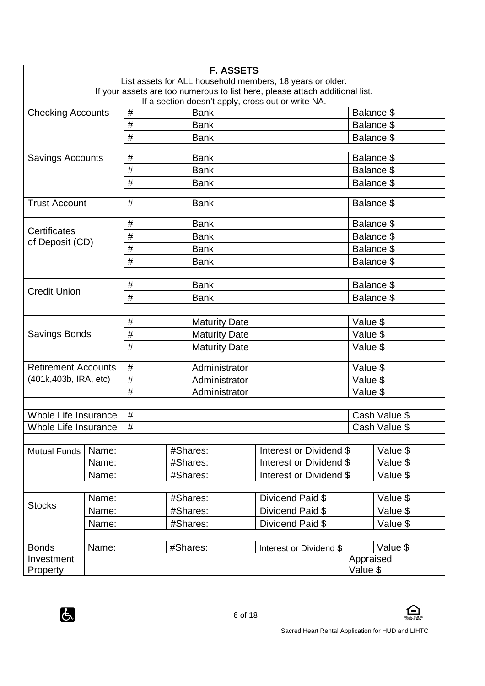| <b>F. ASSETS</b>                                                                                                    |       |      |               |                      |                                                           |                       |               |
|---------------------------------------------------------------------------------------------------------------------|-------|------|---------------|----------------------|-----------------------------------------------------------|-----------------------|---------------|
|                                                                                                                     |       |      |               |                      | List assets for ALL household members, 18 years or older. |                       |               |
| If your assets are too numerous to list here, please attach additional list.                                        |       |      |               |                      |                                                           |                       |               |
| If a section doesn't apply, cross out or write NA.<br>$\#$<br>Balance \$<br><b>Checking Accounts</b><br><b>Bank</b> |       |      |               |                      |                                                           |                       |               |
|                                                                                                                     |       | $\#$ |               | <b>Bank</b>          |                                                           | Balance \$            |               |
|                                                                                                                     |       | #    |               | <b>Bank</b>          |                                                           | Balance \$            |               |
|                                                                                                                     |       |      |               |                      |                                                           |                       |               |
| <b>Savings Accounts</b>                                                                                             |       | #    |               | <b>Bank</b>          |                                                           |                       | Balance \$    |
|                                                                                                                     |       | $\#$ |               | <b>Bank</b>          |                                                           |                       | Balance \$    |
|                                                                                                                     |       | #    |               | <b>Bank</b>          |                                                           |                       | Balance \$    |
|                                                                                                                     |       |      |               |                      |                                                           |                       |               |
| <b>Trust Account</b>                                                                                                |       | $\#$ |               | <b>Bank</b>          |                                                           |                       | Balance \$    |
|                                                                                                                     |       | #    |               | <b>Bank</b>          |                                                           |                       | Balance \$    |
| <b>Certificates</b><br>of Deposit (CD)                                                                              |       | #    |               | <b>Bank</b>          |                                                           |                       | Balance \$    |
|                                                                                                                     |       | #    |               | <b>Bank</b>          |                                                           |                       | Balance \$    |
|                                                                                                                     |       | #    |               | <b>Bank</b>          |                                                           |                       | Balance \$    |
|                                                                                                                     |       |      |               |                      |                                                           |                       |               |
| <b>Credit Union</b>                                                                                                 |       | $\#$ |               | <b>Bank</b>          |                                                           | Balance \$            |               |
|                                                                                                                     |       | #    |               | <b>Bank</b>          |                                                           |                       | Balance \$    |
|                                                                                                                     |       |      |               |                      |                                                           |                       |               |
|                                                                                                                     |       | $\#$ |               | <b>Maturity Date</b> |                                                           | Value \$              |               |
| <b>Savings Bonds</b>                                                                                                |       | #    |               | <b>Maturity Date</b> |                                                           | Value \$              |               |
|                                                                                                                     |       | #    |               | <b>Maturity Date</b> |                                                           | Value \$              |               |
| <b>Retirement Accounts</b>                                                                                          |       | $\#$ |               | Administrator        |                                                           | Value \$              |               |
| (401k, 403b, IRA, etc)                                                                                              |       | $\#$ |               | Administrator        |                                                           | Value \$              |               |
|                                                                                                                     |       | $\#$ | Administrator |                      | Value \$                                                  |                       |               |
|                                                                                                                     |       |      |               |                      |                                                           |                       |               |
| <b>Whole Life Insurance</b>                                                                                         |       | $\#$ |               |                      |                                                           |                       | Cash Value \$ |
| Whole Life Insurance                                                                                                |       | $\#$ |               |                      |                                                           |                       | Cash Value \$ |
|                                                                                                                     |       |      |               |                      |                                                           |                       |               |
| <b>Mutual Funds</b>                                                                                                 | Name: |      |               | #Shares:             | Interest or Dividend \$                                   |                       | Value \$      |
|                                                                                                                     | Name: |      |               | #Shares:             | Interest or Dividend \$                                   |                       | Value \$      |
|                                                                                                                     | Name: |      |               | #Shares:             | Interest or Dividend \$                                   |                       | Value \$      |
|                                                                                                                     |       |      |               |                      |                                                           |                       |               |
| <b>Stocks</b>                                                                                                       | Name: |      |               | #Shares:             | Dividend Paid \$                                          |                       | Value \$      |
|                                                                                                                     | Name: |      |               | #Shares:             | Dividend Paid \$                                          |                       | Value \$      |
|                                                                                                                     | Name: |      |               | #Shares:             | Dividend Paid \$                                          |                       | Value \$      |
|                                                                                                                     |       |      |               |                      |                                                           |                       |               |
| <b>Bonds</b>                                                                                                        | Name: |      |               | #Shares:             | Interest or Dividend \$                                   |                       | Value \$      |
| Investment<br>Property                                                                                              |       |      |               |                      |                                                           | Appraised<br>Value \$ |               |

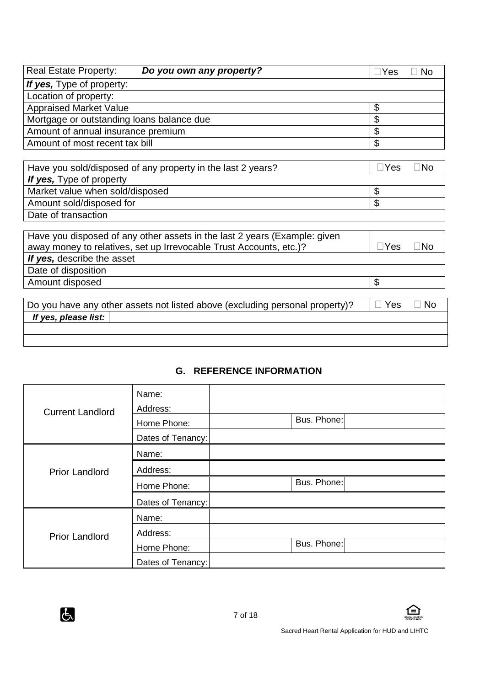| <b>Real Estate Property:</b>                                | Do you own any property? | <b>Yes</b><br>No.         |
|-------------------------------------------------------------|--------------------------|---------------------------|
| If yes, Type of property:                                   |                          |                           |
| Location of property:                                       |                          |                           |
| <b>Appraised Market Value</b>                               |                          | \$                        |
| Mortgage or outstanding loans balance due                   |                          | \$                        |
| Amount of annual insurance premium                          |                          | \$                        |
| Amount of most recent tax bill                              |                          | \$                        |
|                                                             |                          |                           |
| Have you sold/disposed of any property in the last 2 years? |                          | $\Box$ Yes<br>$\sqcap$ No |
| If yes, Type of property                                    |                          |                           |
| Market value when sold/disposed                             |                          | \$                        |
| Amount sold/disposed for                                    |                          | \$                        |

Date of transaction

| Have you disposed of any other assets in the last 2 years (Example: given    |      |      |
|------------------------------------------------------------------------------|------|------|
| away money to relatives, set up Irrevocable Trust Accounts, etc.)?           | ⊥Yes | ∃No  |
| If yes, describe the asset                                                   |      |      |
| Date of disposition                                                          |      |      |
| Amount disposed                                                              | S    |      |
|                                                                              |      |      |
| Do you have any other assets not listed above (excluding personal property)? | Yes  | l No |

**If yes, please list:**

# **G. REFERENCE INFORMATION**

|                         | Name:             |             |
|-------------------------|-------------------|-------------|
| <b>Current Landlord</b> | Address:          |             |
|                         | Home Phone:       | Bus. Phone: |
|                         | Dates of Tenancy: |             |
|                         | Name:             |             |
| <b>Prior Landlord</b>   | Address:          |             |
|                         | Home Phone:       | Bus. Phone: |
|                         | Dates of Tenancy: |             |
|                         | Name:             |             |
| <b>Prior Landlord</b>   | Address:          |             |
|                         | Home Phone:       | Bus. Phone: |
|                         | Dates of Tenancy: |             |

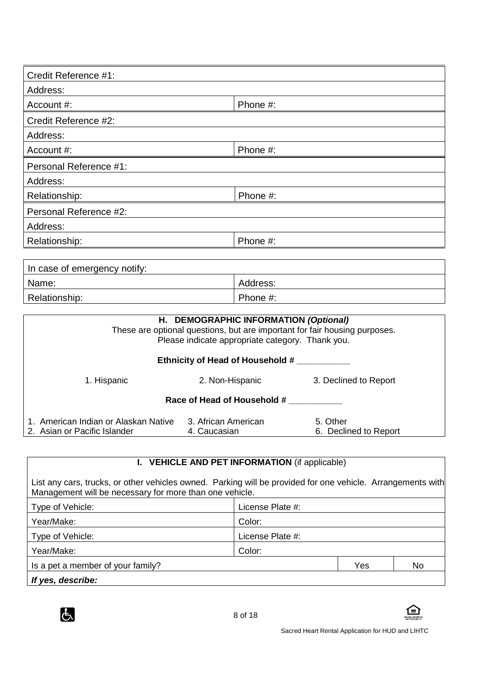| Credit Reference #1:   |          |
|------------------------|----------|
| Address:               |          |
| Account #:             | Phone #: |
| Credit Reference #2:   |          |
| Address:               |          |
| Account #:             | Phone #: |
| Personal Reference #1: |          |
| Address:               |          |
| Relationship:          | Phone #: |
| Personal Reference #2: |          |
| Address:               |          |
| Relationship:          | Phone #: |
|                        |          |

| In case of emergency notify: |          |
|------------------------------|----------|
| Name:                        | Address: |
| Relationship:                | Phone #: |

|                                                                      | H. DEMOGRAPHIC INFORMATION (Optional)<br>Please indicate appropriate category. Thank you. | These are optional questions, but are important for fair housing purposes. |  |
|----------------------------------------------------------------------|-------------------------------------------------------------------------------------------|----------------------------------------------------------------------------|--|
| Ethnicity of Head of Household #                                     |                                                                                           |                                                                            |  |
| 1. Hispanic                                                          | 2. Non-Hispanic                                                                           | 3. Declined to Report                                                      |  |
| Race of Head of Household #                                          |                                                                                           |                                                                            |  |
| 1. American Indian or Alaskan Native<br>2. Asian or Pacific Islander | 3. African American<br>4. Caucasian                                                       | 5. Other<br>6. Declined to Report                                          |  |

# **I. VEHICLE AND PET INFORMATION** (if applicable)

List any cars, trucks, or other vehicles owned. Parking will be provided for one vehicle. Arrangements with Management will be necessary for more than one vehicle.

| Type of Vehicle:                  | License Plate #: |
|-----------------------------------|------------------|
| Year/Make:                        | Color:           |
| Type of Vehicle:                  | License Plate #: |
| Year/Make:                        | Color:           |
| Is a pet a member of your family? | Yes<br>No        |
| If yes, describe:                 |                  |



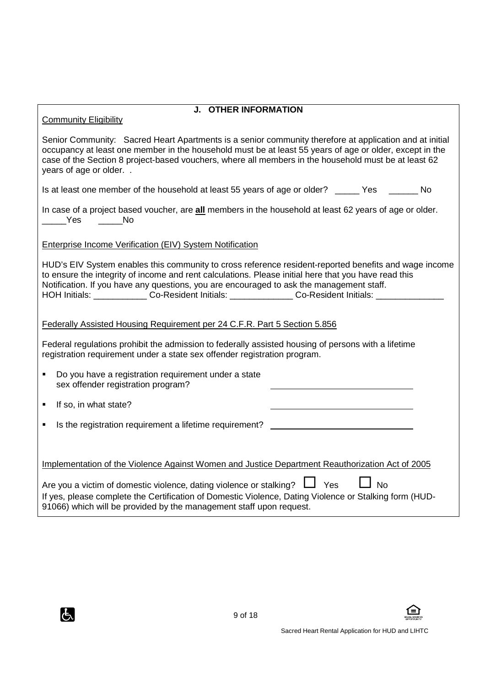| <b>J. OTHER INFORMATION</b><br><b>Community Eligibility</b>                                                                                                                                                                                                                                                                                                                                                            |  |  |
|------------------------------------------------------------------------------------------------------------------------------------------------------------------------------------------------------------------------------------------------------------------------------------------------------------------------------------------------------------------------------------------------------------------------|--|--|
| Senior Community: Sacred Heart Apartments is a senior community therefore at application and at initial<br>occupancy at least one member in the household must be at least 55 years of age or older, except in the<br>case of the Section 8 project-based vouchers, where all members in the household must be at least 62<br>years of age or older                                                                    |  |  |
| Is at least one member of the household at least 55 years of age or older? _____ Yes _____ No                                                                                                                                                                                                                                                                                                                          |  |  |
| In case of a project based voucher, are all members in the household at least 62 years of age or older.<br><b>Parage Yes</b><br>___________ No                                                                                                                                                                                                                                                                         |  |  |
| Enterprise Income Verification (EIV) System Notification                                                                                                                                                                                                                                                                                                                                                               |  |  |
| HUD's EIV System enables this community to cross reference resident-reported benefits and wage income<br>to ensure the integrity of income and rent calculations. Please initial here that you have read this<br>Notification. If you have any questions, you are encouraged to ask the management staff.<br>HOH Initials: ______________ Co-Resident Initials: _______________ Co-Resident Initials: ________________ |  |  |
| Federally Assisted Housing Requirement per 24 C.F.R. Part 5 Section 5.856                                                                                                                                                                                                                                                                                                                                              |  |  |
| Federal regulations prohibit the admission to federally assisted housing of persons with a lifetime<br>registration requirement under a state sex offender registration program.                                                                                                                                                                                                                                       |  |  |
| Do you have a registration requirement under a state<br>$\blacksquare$<br>sex offender registration program?                                                                                                                                                                                                                                                                                                           |  |  |
| If so, in what state?<br>٠                                                                                                                                                                                                                                                                                                                                                                                             |  |  |
| Is the registration requirement a lifetime requirement?                                                                                                                                                                                                                                                                                                                                                                |  |  |
| Implementation of the Violence Against Women and Justice Department Reauthorization Act of 2005                                                                                                                                                                                                                                                                                                                        |  |  |
| Are you a victim of domestic violence, dating violence or stalking? $\Box$ Yes<br>$\Box$ No<br>If yes, please complete the Certification of Domestic Violence, Dating Violence or Stalking form (HUD-<br>91066) which will be provided by the management staff upon request.                                                                                                                                           |  |  |





 $\mathbf{a}$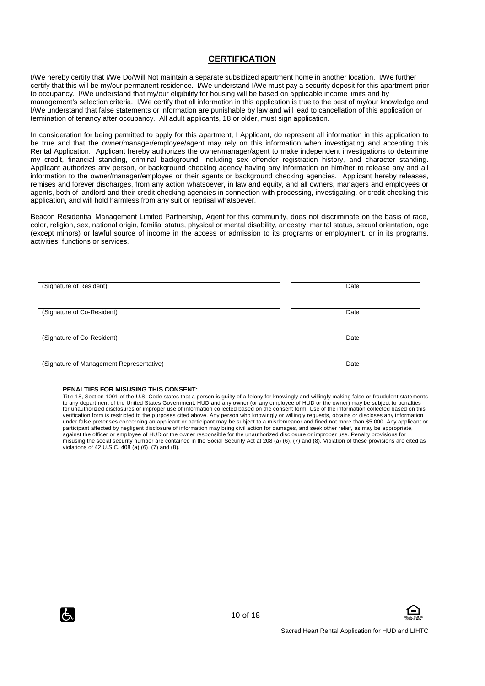#### **CERTIFICATION**

I/We hereby certify that I/We Do/Will Not maintain a separate subsidized apartment home in another location. I/We further certify that this will be my/our permanent residence. I/We understand I/We must pay a security deposit for this apartment prior to occupancy. I/We understand that my/our eligibility for housing will be based on applicable income limits and by management's selection criteria. I/We certify that all information in this application is true to the best of my/our knowledge and I/We understand that false statements or information are punishable by law and will lead to cancellation of this application or termination of tenancy after occupancy. All adult applicants, 18 or older, must sign application.

In consideration for being permitted to apply for this apartment, I Applicant, do represent all information in this application to be true and that the owner/manager/employee/agent may rely on this information when investigating and accepting this Rental Application. Applicant hereby authorizes the owner/manager/agent to make independent investigations to determine my credit, financial standing, criminal background, including sex offender registration history, and character standing. Applicant authorizes any person, or background checking agency having any information on him/her to release any and all information to the owner/manager/employee or their agents or background checking agencies. Applicant hereby releases, remises and forever discharges, from any action whatsoever, in law and equity, and all owners, managers and employees or agents, both of landlord and their credit checking agencies in connection with processing, investigating, or credit checking this application, and will hold harmless from any suit or reprisal whatsoever.

Beacon Residential Management Limited Partnership, Agent for this community, does not discriminate on the basis of race, color, religion, sex, national origin, familial status, physical or mental disability, ancestry, marital status, sexual orientation, age (except minors) or lawful source of income in the access or admission to its programs or employment, or in its programs, activities, functions or services.

| (Signature of Resident)                  | Date |
|------------------------------------------|------|
|                                          |      |
| (Signature of Co-Resident)               | Date |
|                                          |      |
| (Signature of Co-Resident)               | Date |
|                                          |      |
| (Signature of Management Representative) | Date |

#### **PENALTIES FOR MISUSING THIS CONSENT:**

Title 18, Section 1001 of the U.S. Code states that a person is guilty of a felony for knowingly and willingly making false or fraudulent statements to any department of the United States Government. HUD and any owner (or any employee of HUD or the owner) may be subject to penalties for unauthorized disclosures or improper use of information collected based on the consent form. Use of the information collected based on this verification form is restricted to the purposes cited above. Any person who knowingly or willingly requests, obtains or discloses any information under false pretenses concerning an applicant or participant may be subject to a misdemeanor and fined not more than \$5,000. Any applicant or<br>participant affected by negligent disclosure of information may bring civil acti against the officer or employee of HUD or the owner responsible for the unauthorized disclosure or improper use. Penalty provisions for misusing the social security number are contained in the Social Security Act at 208 (a) (6), (7) and (8). Violation of these provisions are cited as violations of 42 U.S.C. 408 (a) (6), (7) and (8).



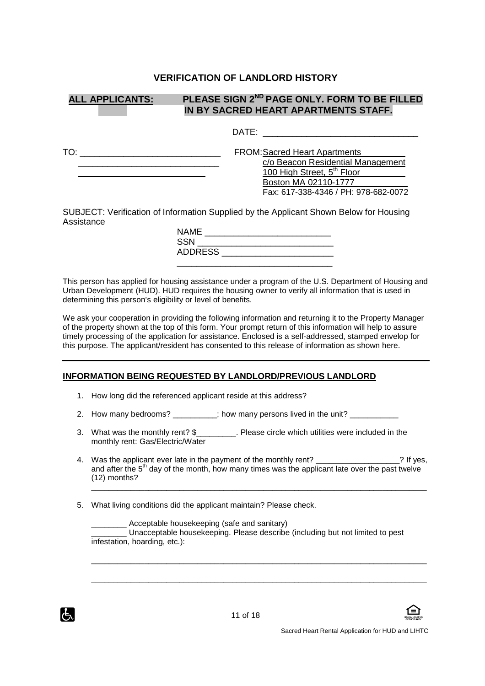#### **VERIFICATION OF LANDLORD HISTORY**

| <b>ALL APPLICANTS:</b> | PLEASE SIGN 2 <sup>ND</sup> PAGE ONLY, FORM TO BE FILLED<br>IN BY SACRED HEART APARTMENTS STAFF.                                                                                    |
|------------------------|-------------------------------------------------------------------------------------------------------------------------------------------------------------------------------------|
|                        | DATE:                                                                                                                                                                               |
| TO:                    | <b>FROM: Sacred Heart Apartments</b><br>c/o Beacon Residential Management<br>100 High Street, 5 <sup>th</sup> Floor<br>Boston MA 02110-1777<br>Fax: 617-338-4346 / PH: 978-682-0072 |
|                        | SUBJECT: Verification of Information Supplied by the Applicant Shown Below for Housing                                                                                              |

Assistance

| <b>NAME</b>    |  |
|----------------|--|
| <b>SSN</b>     |  |
| <b>ADDRESS</b> |  |
|                |  |

This person has applied for housing assistance under a program of the U.S. Department of Housing and Urban Development (HUD). HUD requires the housing owner to verify all information that is used in determining this person's eligibility or level of benefits.

We ask your cooperation in providing the following information and returning it to the Property Manager of the property shown at the top of this form. Your prompt return of this information will help to assure timely processing of the application for assistance. Enclosed is a self-addressed, stamped envelop for this purpose. The applicant/resident has consented to this release of information as shown here.

#### **INFORMATION BEING REQUESTED BY LANDLORD/PREVIOUS LANDLORD**

- 1. How long did the referenced applicant reside at this address?
- 2. How many bedrooms? \_\_\_\_\_\_\_; how many persons lived in the unit?
- 3. What was the monthly rent? \$\_\_\_\_\_\_\_\_\_. Please circle which utilities were included in the monthly rent: Gas/Electric/Water
- 4. Was the applicant ever late in the payment of the monthly rent? The mone of the state is not the state of the monthly rent? and after the  $5<sup>th</sup>$  day of the month, how many times was the applicant late over the past twelve (12) months? \_\_\_\_\_\_\_\_\_\_\_\_\_\_\_\_\_\_\_\_\_\_\_\_\_\_\_\_\_\_\_\_\_\_\_\_\_\_\_\_\_\_\_\_\_\_\_\_\_\_\_\_\_\_\_\_\_\_\_\_\_\_\_\_\_\_\_\_\_\_\_\_\_\_\_\_
- 5. What living conditions did the applicant maintain? Please check.

Acceptable housekeeping (safe and sanitary) \_\_\_\_\_\_\_\_ Unacceptable housekeeping. Please describe (including but not limited to pest infestation, hoarding, etc.):

\_\_\_\_\_\_\_\_\_\_\_\_\_\_\_\_\_\_\_\_\_\_\_\_\_\_\_\_\_\_\_\_\_\_\_\_\_\_\_\_\_\_\_\_\_\_\_\_\_\_\_\_\_\_\_\_\_\_\_\_\_\_\_\_\_\_\_\_\_\_\_\_\_\_\_\_

\_\_\_\_\_\_\_\_\_\_\_\_\_\_\_\_\_\_\_\_\_\_\_\_\_\_\_\_\_\_\_\_\_\_\_\_\_\_\_\_\_\_\_\_\_\_\_\_\_\_\_\_\_\_\_\_\_\_\_\_\_\_\_\_\_\_\_\_\_\_\_\_\_\_\_\_



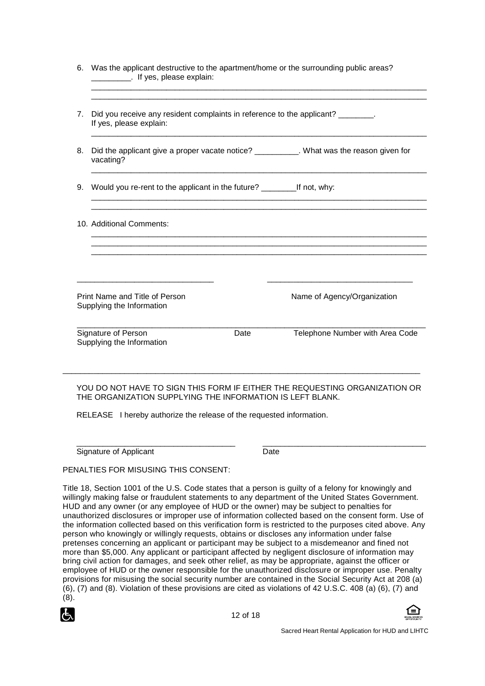|                                                                                                                                                                                      |      | ,我们也不会有什么。""我们的人,我们也不会有什么?""我们的人,我们也不会有什么?""我们的人,我们也不会有什么?""我们的人,我们也不会有什么?""我们的人                                                                                                                                                                                                               |
|--------------------------------------------------------------------------------------------------------------------------------------------------------------------------------------|------|------------------------------------------------------------------------------------------------------------------------------------------------------------------------------------------------------------------------------------------------------------------------------------------------|
| If yes, please explain:                                                                                                                                                              |      |                                                                                                                                                                                                                                                                                                |
| vacating?                                                                                                                                                                            |      |                                                                                                                                                                                                                                                                                                |
|                                                                                                                                                                                      |      |                                                                                                                                                                                                                                                                                                |
| 10. Additional Comments:                                                                                                                                                             |      |                                                                                                                                                                                                                                                                                                |
| <u> 1989 - Johann John Stein, mars an deutscher Stein und der Stein und der Stein und der Stein und der Stein und</u><br>Print Name and Title of Person<br>Supplying the Information |      | <u> 1980 - Jan Barnett, fransk politik (d. 1980)</u><br>Name of Agency/Organization                                                                                                                                                                                                            |
| Signature of Person<br>Supplying the Information                                                                                                                                     | Date | Telephone Number with Area Code                                                                                                                                                                                                                                                                |
|                                                                                                                                                                                      |      | Was the applicant destructive to the apartment/home or the surrounding public areas?<br>If yes, please explain:<br>Did you receive any resident complaints in reference to the applicant? ________.<br>Did the applicant give a proper vacate notice? _________. What was the reason given for |

#### YOU DO NOT HAVE TO SIGN THIS FORM IF EITHER THE REQUESTING ORGANIZATION OR THE ORGANIZATION SUPPLYING THE INFORMATION IS LEFT BLANK.

RELEASE I hereby authorize the release of the requested information.

\_\_\_\_\_\_\_\_\_\_\_\_\_\_\_\_\_\_\_\_\_\_\_\_\_\_\_\_\_\_\_\_\_\_\_\_ \_\_\_\_\_\_\_\_\_\_\_\_\_\_\_\_\_\_\_\_\_\_\_\_\_\_\_\_\_\_\_\_\_\_\_\_\_ Signature of Applicant Date

PENALTIES FOR MISUSING THIS CONSENT:

Title 18, Section 1001 of the U.S. Code states that a person is guilty of a felony for knowingly and willingly making false or fraudulent statements to any department of the United States Government. HUD and any owner (or any employee of HUD or the owner) may be subject to penalties for unauthorized disclosures or improper use of information collected based on the consent form. Use of the information collected based on this verification form is restricted to the purposes cited above. Any person who knowingly or willingly requests, obtains or discloses any information under false pretenses concerning an applicant or participant may be subject to a misdemeanor and fined not more than \$5,000. Any applicant or participant affected by negligent disclosure of information may bring civil action for damages, and seek other relief, as may be appropriate, against the officer or employee of HUD or the owner responsible for the unauthorized disclosure or improper use. Penalty provisions for misusing the social security number are contained in the Social Security Act at 208 (a) (6), (7) and (8). Violation of these provisions are cited as violations of 42 U.S.C. 408 (a) (6), (7) and (8).



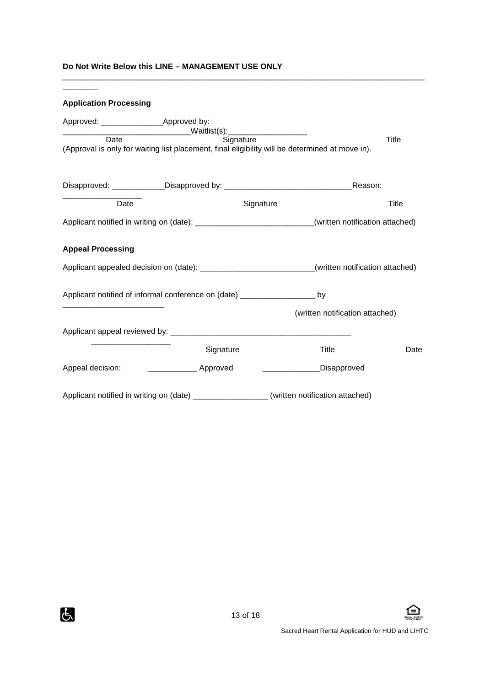#### **Do Not Write Below this LINE – MANAGEMENT USE ONLY**

\_\_\_\_\_\_\_\_

# **Application Processing**  Approved: \_\_\_\_\_\_\_\_\_\_\_\_\_\_Approved by: \_\_\_\_\_\_\_\_\_\_\_\_\_\_\_\_\_\_\_\_\_\_\_\_\_\_\_\_\_Waitlist(s):\_\_\_\_\_\_\_\_\_\_\_\_\_\_\_\_\_\_ Date **Signature** Signature Signature Title (Approval is only for waiting list placement, final eligibility will be determined at move in). Disapproved: \_\_\_\_\_\_\_\_\_\_\_\_Disapproved by: \_\_\_\_\_\_\_\_\_\_\_\_\_\_\_\_\_\_\_\_\_\_\_\_\_\_\_\_\_Reason: \_\_\_\_\_\_\_\_\_\_\_\_\_\_\_\_\_\_ Date **Date** Signature **Signature** Title Applicant notified in writing on (date): \_\_\_\_\_\_\_\_\_\_\_\_\_\_\_\_\_\_\_\_\_\_\_\_\_\_\_(written notification attached) **Appeal Processing**  Applicant appealed decision on (date): \_\_\_\_\_\_\_\_\_\_\_\_\_\_\_\_\_\_\_\_\_\_\_\_\_\_\_\_\_\_\_\_\_\_(written notification attached) Applicant notified of informal conference on (date) \_\_\_\_\_\_\_\_\_\_\_\_\_\_\_\_\_ by \_\_\_\_\_\_\_\_\_\_\_\_\_\_\_\_\_\_\_\_\_\_\_ (written notification attached) Applicant appeal reviewed by: \_\_\_\_\_\_\_\_\_\_\_\_\_\_\_\_\_\_\_\_\_\_\_\_\_\_\_\_\_\_\_\_\_\_\_\_\_\_\_\_\_  $\frac{1}{\sqrt{2}}$  ,  $\frac{1}{\sqrt{2}}$  ,  $\frac{1}{\sqrt{2}}$  ,  $\frac{1}{\sqrt{2}}$  ,  $\frac{1}{\sqrt{2}}$  ,  $\frac{1}{\sqrt{2}}$  ,  $\frac{1}{\sqrt{2}}$  ,  $\frac{1}{\sqrt{2}}$  ,  $\frac{1}{\sqrt{2}}$  ,  $\frac{1}{\sqrt{2}}$  ,  $\frac{1}{\sqrt{2}}$  ,  $\frac{1}{\sqrt{2}}$  ,  $\frac{1}{\sqrt{2}}$  ,  $\frac{1}{\sqrt{2}}$  ,  $\frac{1}{\sqrt{2}}$ **Signature Community Community Community Community Community Community Community Community Community Community** Co Appeal decision: \_\_\_\_\_\_\_\_\_\_\_\_\_\_\_\_\_\_ Approved \_\_\_\_\_\_\_\_\_\_\_\_\_\_\_\_\_\_\_\_Disapproved Applicant notified in writing on (date) **Example 20** (written notification attached)

\_\_\_\_\_\_\_\_\_\_\_\_\_\_\_\_\_\_\_\_\_\_\_\_\_\_\_\_\_\_\_\_\_\_\_\_\_\_\_\_\_\_\_\_\_\_\_\_\_\_\_\_\_\_\_\_\_\_\_\_\_\_\_\_\_\_\_\_\_\_\_\_\_\_\_\_\_\_\_\_\_\_



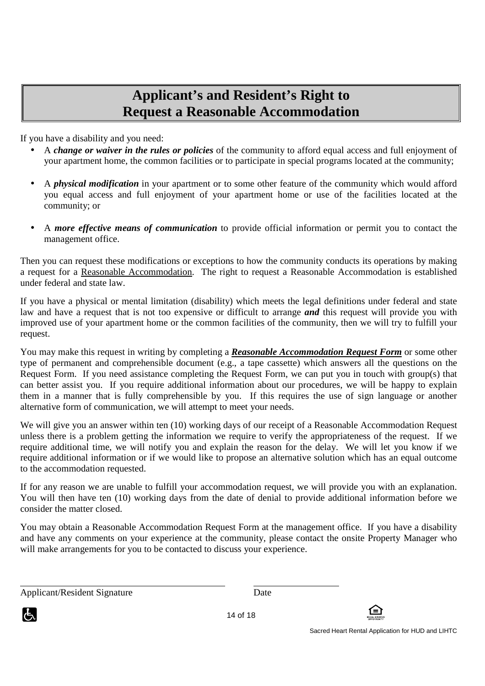# **Applicant's and Resident's Right to Request a Reasonable Accommodation**

If you have a disability and you need:

- A *change or waiver in the rules or policies* of the community to afford equal access and full enjoyment of your apartment home, the common facilities or to participate in special programs located at the community;
- A *physical modification* in your apartment or to some other feature of the community which would afford you equal access and full enjoyment of your apartment home or use of the facilities located at the community; or
- A *more effective means of communication* to provide official information or permit you to contact the management office.

Then you can request these modifications or exceptions to how the community conducts its operations by making a request for a Reasonable Accommodation. The right to request a Reasonable Accommodation is established under federal and state law.

If you have a physical or mental limitation (disability) which meets the legal definitions under federal and state law and have a request that is not too expensive or difficult to arrange *and* this request will provide you with improved use of your apartment home or the common facilities of the community, then we will try to fulfill your request.

You may make this request in writing by completing a *Reasonable Accommodation Request Form* or some other type of permanent and comprehensible document (e.g., a tape cassette) which answers all the questions on the Request Form. If you need assistance completing the Request Form, we can put you in touch with group(s) that can better assist you. If you require additional information about our procedures, we will be happy to explain them in a manner that is fully comprehensible by you. If this requires the use of sign language or another alternative form of communication, we will attempt to meet your needs.

We will give you an answer within ten (10) working days of our receipt of a Reasonable Accommodation Request unless there is a problem getting the information we require to verify the appropriateness of the request. If we require additional time, we will notify you and explain the reason for the delay. We will let you know if we require additional information or if we would like to propose an alternative solution which has an equal outcome to the accommodation requested.

If for any reason we are unable to fulfill your accommodation request, we will provide you with an explanation. You will then have ten (10) working days from the date of denial to provide additional information before we consider the matter closed.

You may obtain a Reasonable Accommodation Request Form at the management office. If you have a disability and have any comments on your experience at the community, please contact the onsite Property Manager who will make arrangements for you to be contacted to discuss your experience.

Applicant/Resident Signature Date



 $\overline{a}$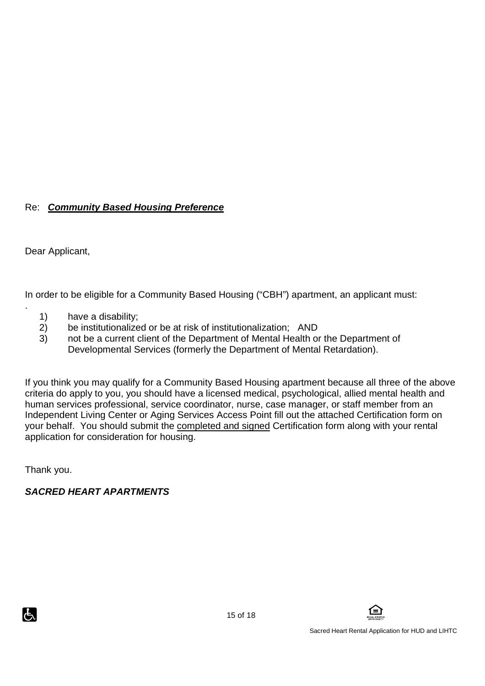# Re: **Community Based Housing Preference**

Dear Applicant,

.

In order to be eligible for a Community Based Housing ("CBH") apartment, an applicant must:

- 1) have a disability;
- 2) be institutionalized or be at risk of institutionalization; AND
- 3) not be a current client of the Department of Mental Health or the Department of Developmental Services (formerly the Department of Mental Retardation).

If you think you may qualify for a Community Based Housing apartment because all three of the above criteria do apply to you, you should have a licensed medical, psychological, allied mental health and human services professional, service coordinator, nurse, case manager, or staff member from an Independent Living Center or Aging Services Access Point fill out the attached Certification form on your behalf. You should submit the completed and signed Certification form along with your rental application for consideration for housing.

Thank you.

# **SACRED HEART APARTMENTS**

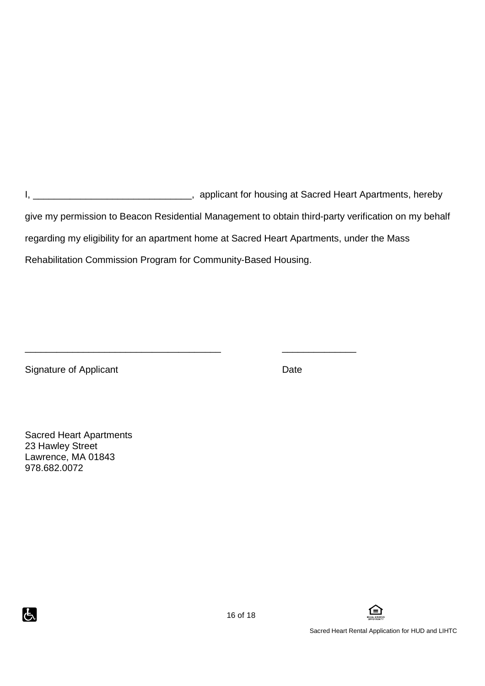I, \_\_\_\_\_\_\_\_\_\_\_\_\_\_\_\_\_\_\_\_\_\_\_\_\_\_\_\_\_\_\_\_\_, applicant for housing at Sacred Heart Apartments, hereby give my permission to Beacon Residential Management to obtain third-party verification on my behalf regarding my eligibility for an apartment home at Sacred Heart Apartments, under the Mass Rehabilitation Commission Program for Community-Based Housing.

\_\_\_\_\_\_\_\_\_\_\_\_\_\_\_\_\_\_\_\_\_\_\_\_\_\_\_\_\_\_\_\_\_\_\_\_\_ \_\_\_\_\_\_\_\_\_\_\_\_\_\_

Signature of Applicant Date Date

Sacred Heart Apartments 23 Hawley Street Lawrence, MA 01843 978.682.0072



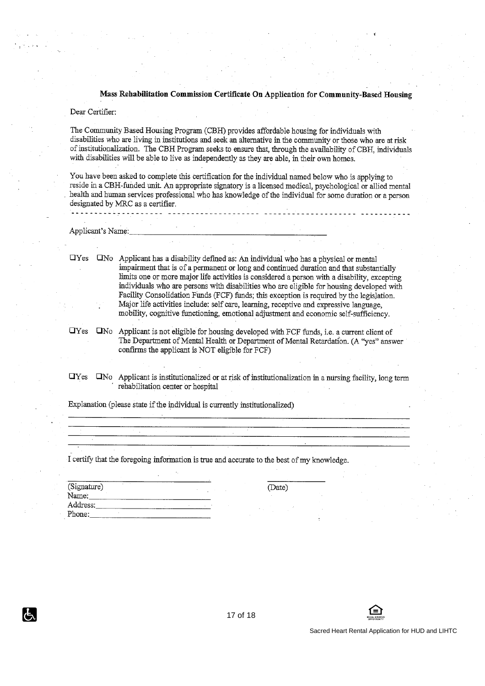#### Mass Rehabilitation Commission Certificate On Application for Community-Based Housing

#### Dear Certifier:

The Community Based Housing Program (CBH) provides affordable housing for individuals with disabilities who are living in institutions and seek an alternative in the community or those who are at risk of institutionalization. The CBH Program seeks to ensure that, through the availability of CBH, individuals with disabilities will be able to live as independently as they are able, in their own homes.

You have been asked to complete this certification for the individual named below who is applying to reside in a CBH-funded unit. An appropriate signatory is a licensed medical, psychological or allied mental health and human services professional who has knowledge of the individual for some duration or a person designated by MRC as a certifier.

Applicant's Name:

. . . . . . . . . . . . . . . . . . . .

 $\Box$  Yes  $\Box$  No Applicant has a disability defined as: An individual who has a physical or mental impairment that is of a permanent or long and continued duration and that substantially limits one or more major life activities is considered a person with a disability, excepting individuals who are persons with disabilities who are eligible for housing developed with Facility Consolidation Funds (FCF) funds; this exception is required by the legislation. Major life activities include; self care, learning, receptive and expressive language. mobility, cognitive functioning, emotional adjustment and economic self-sufficiency.

TYes TNo Applicant is not eligible for housing developed with FCF funds, i.e. a current client of The Department of Mental Health or Department of Mental Retardation. (A "yes" answer confirms the applicant is NOT eligible for FCF)

 $\Box$ Yes  $\square$ No Applicant is institutionalized or at risk of institutionalization in a nursing facility, long term rehabilitation center or hospital

Explanation (please state if the individual is currently institutionalized)

I certify that the foregoing information is true and accurate to the best of my knowledge.

| (Signature)<br>Name: |  |  |  |
|----------------------|--|--|--|
| Address:             |  |  |  |
| Phone:               |  |  |  |

IG.

(Date)